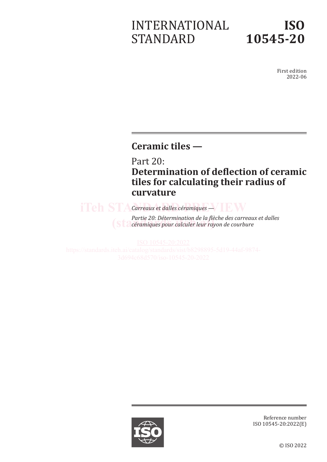# INTERNATIONAL STANDARD



First edition 2022-06

# **Ceramic tiles —**

Part 20:

**Determination of deflection of ceramic tiles for calculating their radius of curvature**

**CALCA** Carreaux et dalles céramiques — **CALCA** 

*Partie 20: Détermination de la flèche des carreaux et dalles céramiques pour calculer leur rayon de courbure*<br>**(Standards.id)**<br>**(Standards.id)** 

© ISO 2022 **iTeh STANDARD PREVIEW**



Reference number ISO 10545-20:2022(E)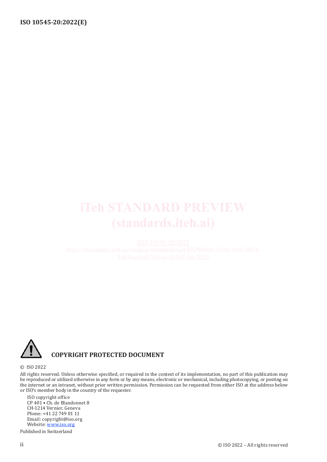# Teh STANDARD PREVIEW<br>
(standards.iteh.ai/SO 10545-20:2022<br>
//standards.iteh.ai/scale/g/standards/size/bS298895-5d19-44af-9874-<br>
3d694c68d570/iso-10545-20-2022<br>
HT PROTECTED DOCUMENT<br>
HT PROTECTED DOCUMENT<br>
<br>
HT PROTECTED D



# **COPYRIGHT PROTECTED DOCUMENT**

### © ISO 2022

All rights reserved. Unless otherwise specified, or required in the context of its implementation, no part of this publication may be reproduced or utilized otherwise in any form or by any means, electronic or mechanical, including photocopying, or posting on the internet or an intranet, without prior written permission. Permission can be requested from either ISO at the address below or ISO's member body in the country of the requester.

ISO copyright office CP 401 • Ch. de Blandonnet 8 CH-1214 Vernier, Geneva Phone: +41 22 749 01 11 Email: copyright@iso.org Website: [www.iso.org](https://www.iso.org)

Published in Switzerland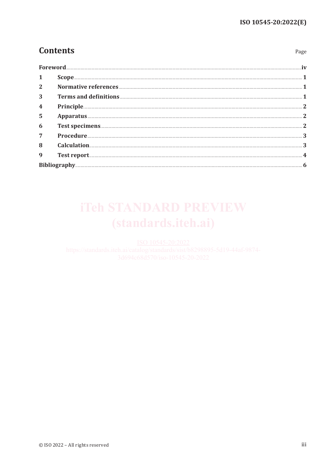Page

# **Contents**

| Foreword       |  |  |  |
|----------------|--|--|--|
|                |  |  |  |
| $\overline{2}$ |  |  |  |
| 3              |  |  |  |
|                |  |  |  |
| 5              |  |  |  |
| 6              |  |  |  |
| 7              |  |  |  |
| 8              |  |  |  |
| 9              |  |  |  |
|                |  |  |  |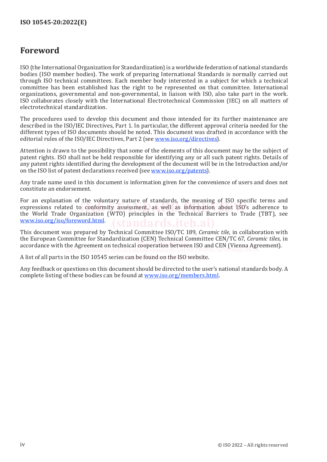# **Foreword**

ISO (the International Organization for Standardization) is a worldwide federation of national standards bodies (ISO member bodies). The work of preparing International Standards is normally carried out through ISO technical committees. Each member body interested in a subject for which a technical committee has been established has the right to be represented on that committee. International organizations, governmental and non-governmental, in liaison with ISO, also take part in the work. ISO collaborates closely with the International Electrotechnical Commission (IEC) on all matters of electrotechnical standardization.

The procedures used to develop this document and those intended for its further maintenance are described in the ISO/IEC Directives, Part 1. In particular, the different approval criteria needed for the different types of ISO documents should be noted. This document was drafted in accordance with the editorial rules of the ISO/IEC Directives, Part 2 (see [www.iso.org/directives\)](https://www.iso.org/directives-and-policies.html).

Attention is drawn to the possibility that some of the elements of this document may be the subject of patent rights. ISO shall not be held responsible for identifying any or all such patent rights. Details of any patent rights identified during the development of the document will be in the Introduction and/or on the ISO list of patent declarations received (see [www.iso.org/patents](https://www.iso.org/iso-standards-and-patents.html)).

Any trade name used in this document is information given for the convenience of users and does not constitute an endorsement.

For an explanation of the voluntary nature of standards, the meaning of ISO specific terms and expressions related to conformity assessment, as well as information about ISO's adherence to the World Trade Organization (WTO) principles in the Technical Barriers to Trade (TBT), see [www.iso.org/iso/foreword.html.](https://www.iso.org/foreword-supplementary-information.html) is the most state of the conformitly assessment, as well as information about 160% adherence to<br>conversion relation to conformity assessment, as well as information about 160% adherence to<br>the World Trade. Organization (WT **(standards.iteh.ai)**

This document was prepared by Technical Committee ISO/TC 189, *Ceramic tile,* in collaboration with the European Committee for Standardization (CEN) Technical Committee CEN/TC 67, *Ceramic tiles,* in accordance with the Agreement on technical cooperation between ISO and CEN (Vienna Agreement). https://standards.iteh.ai/catalog/standards/sist/b8298895-5d19-44af-9874-

A list of all parts in the ISO 10545 series can be found on the ISO website.

Any feedback or questions on this document should be directed to the user's national standards body. A complete listing of these bodies can be found at [www.iso.org/members.html.](https://www.iso.org/members.html)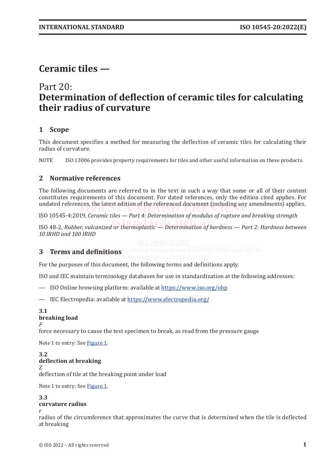# **Ceramic tiles —**

# Part 20: **Determination of deflection of ceramic tiles for calculating their radius of curvature**

# **1 Scope**

This document specifies a method for measuring the deflection of ceramic tiles for calculating their radius of curvature.

NOTE ISO 13006 provides property requirements for tiles and other useful information on these products.

# **2 Normative references**

The following documents are referred to in the text in such a way that some or all of their content constitutes requirements of this document. For dated references, only the edition cited applies. For undated references, the latest edition of the referenced document (including any amendments) applies.<br> **iTeh STANDARD PREVIEW PREVIEW PREVIEW** 

ISO 10545-4:2019, *Ceramic tiles — Part 4: Determination of modulus of rupture and breaking strength*

ISO 48-2, *Rubber, vulcanized or thermoplastic — Determination of hardness — Part 2: Hardness between*<br>(1998) ISO 48-2, *Rubber, vulcanized or thermoplastic — Determination of hardness — Part 2: Hardness between 10 IRHD and 100 IRHD*

# **3 Terms and definitions**

For the purposes of this document, the following terms and definitions apply.

ISO and IEC maintain terminology databases for use in standardization at the following addresses:

— ISO Online browsing platform: available at [https://www.iso.org/obp](https://www.iso.org/obp/ui)

— IEC Electropedia: available at<https://www.electropedia.org/>

# **3.1**

### **breaking load** *F*

force necessary to cause the test specimen to break, as read from the pressure gauge

Note 1 to entry: See Figure 1.

### **3.2 deflection at breaking**

*Z* deflection of tile at the breaking point under load

Note 1 to entry: See Figure 1.

# **3.3 curvature radius**

*r*

radius of the circumference that approximates the curve that is determined when the tile is deflected at breaking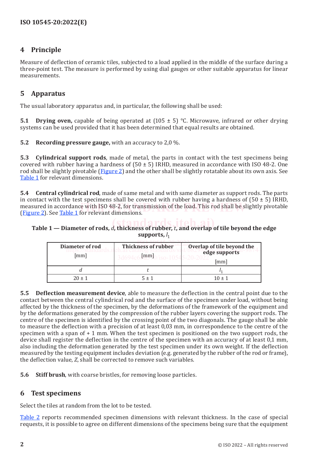# **4 Principle**

Measure of deflection of ceramic tiles, subjected to a load applied in the middle of the surface during a three-point test. The measure is performed by using dial gauges or other suitable apparatus for linear measurements.

# **5 Apparatus**

The usual laboratory apparatus and, in particular, the following shall be used:

**5.1 Drying oven,** capable of being operated at  $(105 \pm 5)$  °C. Microwave, infrared or other drying systems can be used provided that it has been determined that equal results are obtained.

**5.2 Recording pressure gauge,** with an accuracy to 2,0 %.

**5.3 Cylindrical support rods**, made of metal, the parts in contact with the test specimens being covered with rubber having a hardness of  $(50 \pm 5)$  IRHD, measured in accordance with ISO 48-2. One rod shall be slightly pivotable (Figure 2) and the other shall be slightly rotatable about its own axis. See Table 1 for relevant dimensions.

**5.4 Central cylindrical rod**, made of same metal and with same diameter as support rods. The parts in contact with the test specimens shall be covered with rubber having a hardness of  $(50 \pm 5)$  IRHD, measured in accordance with ISO 48-2, for transmission of the load. This rod shall be slightly pivotable (Figure 2). See Table 1 for relevant dimensions. (Figure 2). See Table 1 for relevant dimensions.

# **Table 1** — Diameter of rods, *d*, thickness of rubber, *t*, and overlap of tile beyond the edge **supports,** *l* 1

| $\begin{array}{c} \wedge \vdash \vdash \vdash \wedge \wedge \wedge \wedge \wedge \wedge \wedge \wedge \end{array}$ |                                                                              |                                                   |  |  |
|--------------------------------------------------------------------------------------------------------------------|------------------------------------------------------------------------------|---------------------------------------------------|--|--|
| Diameter of rod<br>$\lceil mm \rceil$                                                                              | <b>Thickness of rubber</b><br>$3d694c6$ (mm) <sup>0</sup> /iso-10545-20-2022 | Overlap of tile beyond the<br>edge supports<br>mm |  |  |
|                                                                                                                    |                                                                              |                                                   |  |  |
| $20 \pm 1$                                                                                                         | $5 + 1$                                                                      | $10 + 1$                                          |  |  |

**5.5 Deflection measurement device**, able to measure the deflection in the central point due to the contact between the central cylindrical rod and the surface of the specimen under load, without being affected by the thickness of the specimen, by the deformations of the framework of the equipment and by the deformations generated by the compression of the rubber layers covering the support rods. The centre of the specimen is identified by the crossing point of the two diagonals. The gauge shall be able to measure the deflection with a precision of at least 0,03 mm, in correspondence to the centre of the specimen with a span of + 1 mm. When the test specimen is positioned on the two support rods, the device shall register the deflection in the centre of the specimen with an accuracy of at least 0,1 mm, also including the deformation generated by the test specimen under its own weight. If the deflection measured by the testing equipment includes deviation (e.g. generated by the rubber of the rod or frame), the deflection value, *Z*, shall be corrected to remove such variables.

**5.6 Stiff brush**, with coarse bristles, for removing loose particles.

# **6 Test specimens**

Select the tiles at random from the lot to be tested.

Table 2 reports recommended specimen dimensions with relevant thickness. In the case of special requests, it is possible to agree on different dimensions of the specimens being sure that the equipment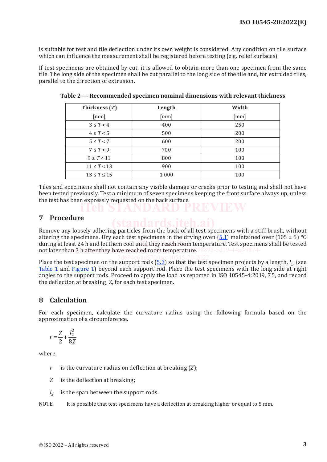is suitable for test and tile deflection under its own weight is considered. Any condition on tile surface which can influence the measurement shall be registered before testing (e.g. relief surfaces).

If test specimens are obtained by cut, it is allowed to obtain more than one specimen from the same tile. The long side of the specimen shall be cut parallel to the long side of the tile and, for extruded tiles, parallel to the direction of extrusion.

| Thickness $(T)$   | Length  | Width |
|-------------------|---------|-------|
| [mm]              | [mm]    | [mm]  |
| $3 \leq T < 4$    | 400     | 250   |
| $4 \leq T < 5$    | 500     | 200   |
| $5 \leq T < 7$    | 600     | 200   |
| $7 \leq T < 9$    | 700     | 100   |
| $9 \le T < 11$    | 800     | 100   |
| $11 \le T < 13$   | 900     | 100   |
| $13 \le T \le 15$ | 1 0 0 0 | 100   |

**Table 2 — Recommended specimen nominal dimensions with relevant thickness**

Tiles and specimens shall not contain any visible damage or cracks prior to testing and shall not have been tested previously. Test a minimum of seven specimens keeping the front surface always up, unless the test has been expressly requested on the back surface. **iTeh STANDARD PREVIEW**

### **7 Procedure**

Remove any loosely adhering particles from the back of all test specimens with a stiff brush, without altering the specimens. Dry each test specimens in the drying oven  $(5.1)$  maintained over  $(105 \pm 5)$  °C during at least 24 h and let them cool until they reach room temperature. Test specimens shall be tested not later than 3 h after they have reached room temperature.98895-5d19-44af-9874-**(standards.iteh.ai)**

Place the test specimen on the support rods  $(5.3)$  so that the test specimen projects by a length,  $l_1$ , (see Table 1 and Figure 1) beyond each support rod. Place the test specimens with the long side at right angles to the support rods. Proceed to apply the load as reported in ISO 10545-4:2019, 7.5, and record the deflection at breaking, *Z*, for each test specimen. 3d694c68d570/iso-10545-20-2022

# **8 Calculation**

For each specimen, calculate the curvature radius using the following formula based on the approximation of a circumference.

$$
r = \frac{Z}{2} + \frac{l_2^2}{8Z}
$$

where

- *r* is the curvature radius on deflection at breaking (*Z*);
- *Z* is the deflection at breaking;
- $l<sub>2</sub>$ is the span between the support rods.

NOTE It is possible that test specimens have a deflection at breaking higher or equal to 5 mm.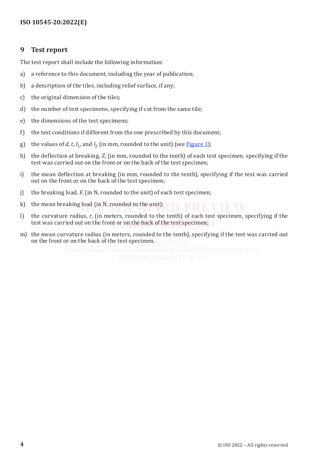# **9 Test report**

The test report shall include the following information:

- a) a reference to this document, including the year of publication;
- b) a description of the tiles, including relief surface, if any;
- c) the original dimension of the tiles;
- d) the number of test specimens, specifying if cut from the same tile;
- e) the dimensions of the test specimens;
- f) the test conditions if different from the one prescribed by this document;
- g) the values of *d*, *t*, *l* <sup>1</sup>, and *l* <sup>2</sup> (in mm, rounded to the unit) (see Figure 1);
- h) the deflection at breaking, *Z*, (in mm, rounded to the tenth) of each test specimen, specifying if the test was carried out on the front or on the back of the test specimen;
- i) the mean deflection at breaking (in mm, rounded to the tenth), specifying if the test was carried out on the front or on the back of the test specimen;
- j) the breaking load, *F*, (in N, rounded to the unit) of each test specimen;
- k) the mean breaking load (in N, rounded to the unit);<br> **interview of the United States of the United States of the United States of the United States of the United States of the United States of the United States of the U**
- l) the curvature radius, *r*, (in meters, rounded to the tenth) of each test specimen, specifying if the test was carried out on the front or on the back of the test specimen;
- m) the mean curvature radius (in meters, rounded to the tenth), specifying if the test was carried out on the front or on the back of the test specimen.  $\frac{545-20:2022}{5}$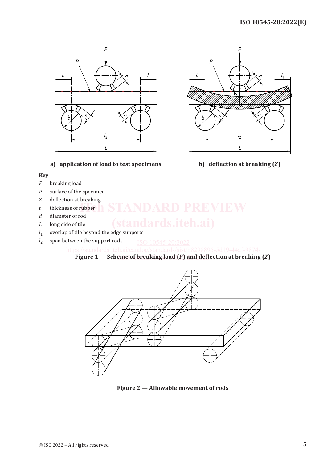

**a) application of load to test specimens b) deflection at breaking (***Z***)**

### **Key**

- *F* breaking load
- *P* surface of the specimen
- *Z* deflection at breaking
- *t* thickness of rubber
- *d* diameter of rod
- *L* long side of tile
- $l_1$ overlap of tile beyond the edge supports
- *l* span between the support rods

 $\overline{P}$  $\overline{L}$ 

**Figure 1 — Scheme of breaking load (***F***) and deflection at breaking (***Z***)**